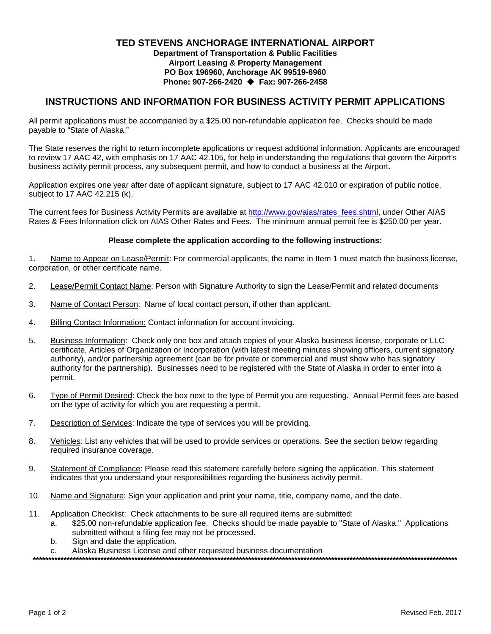# **TED STEVENS ANCHORAGE INTERNATIONAL AIRPORT**

**Department of Transportation & Public Facilities Airport Leasing & Property Management PO Box 196960, Anchorage AK 99519-6960 Phone: 907-266-2420 Fax: 907-266-2458**

### **INSTRUCTIONS AND INFORMATION FOR BUSINESS ACTIVITY PERMIT APPLICATIONS**

All permit applications must be accompanied by a \$25.00 non-refundable application fee. Checks should be made payable to "State of Alaska."

The State reserves the right to return incomplete applications or request additional information. Applicants are encouraged to review 17 AAC 42, with emphasis on 17 AAC 42.105, for help in understanding the regulations that govern the Airport's business activity permit process, any subsequent permit, and how to conduct a business at the Airport.

Application expires one year after date of applicant signature, subject to 17 AAC 42.010 or expiration of public notice, subject to 17 AAC 42.215 (k).

The current fees for Business Activity Permits are available at [http://www.gov/aias/rates\\_fees.shtml,](http://www.gov/aias/rates_fees.shtml) under Other AIAS Rates & Fees Information click on AIAS Other Rates and Fees. The minimum annual permit fee is \$250.00 per year.

#### **Please complete the application according to the following instructions:**

1. Name to Appear on Lease/Permit: For commercial applicants, the name in Item 1 must match the business license, corporation, or other certificate name.

- 2. Lease/Permit Contact Name: Person with Signature Authority to sign the Lease/Permit and related documents
- 3. Name of Contact Person: Name of local contact person, if other than applicant.
- 4. Billing Contact Information: Contact information for account invoicing.
- 5. Business Information: Check only one box and attach copies of your Alaska business license, corporate or LLC certificate, Articles of Organization or Incorporation (with latest meeting minutes showing officers, current signatory authority), and/or partnership agreement (can be for private or commercial and must show who has signatory authority for the partnership). Businesses need to be registered with the State of Alaska in order to enter into a permit.
- 6. Type of Permit Desired: Check the box next to the type of Permit you are requesting. Annual Permit fees are based on the type of activity for which you are requesting a permit.
- 7. Description of Services: Indicate the type of services you will be providing.
- 8. Vehicles: List any vehicles that will be used to provide services or operations. See the section below regarding required insurance coverage.
- 9. Statement of Compliance: Please read this statement carefully before signing the application. This statement indicates that you understand your responsibilities regarding the business activity permit.
- 10. Name and Signature: Sign your application and print your name, title, company name, and the date.
- 11. Application Checklist: Check attachments to be sure all required items are submitted:
	- a. \$25.00 non-refundable application fee. Checks should be made payable to "State of Alaska." Applications submitted without a filing fee may not be processed.
	- b. Sign and date the application.
	- c. Alaska Business License and other requested business documentation

**\*\*\*\*\*\*\*\*\*\*\*\*\*\*\*\*\*\*\*\*\*\*\*\*\*\*\*\*\*\*\*\*\*\*\*\*\*\*\*\*\*\*\*\*\*\*\*\*\*\*\*\*\*\*\*\*\*\*\*\*\*\*\*\*\*\*\*\*\*\*\*\*\*\*\*\*\*\*\*\*\*\*\*\*\*\*\*\*\*\*\*\*\*\*\*\*\*\*\*\*\*\*\*\*\*\*\*\*\*\*\*\*\*\*\*\*\*\*\*\*\*\*\*\*\*\*\*\*\*\*\*\*\*\*\*\*\*\***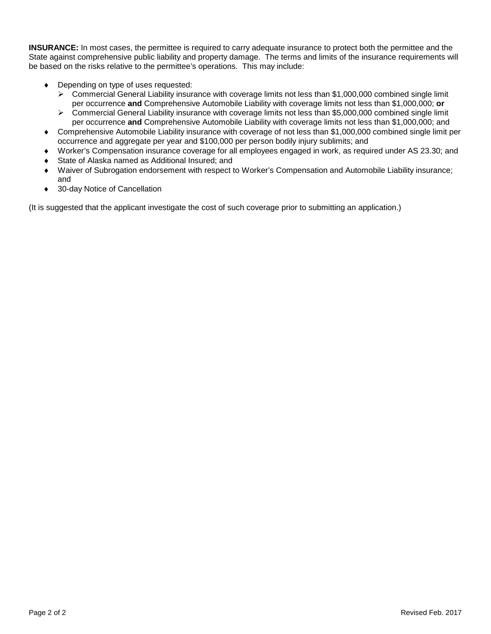**INSURANCE:** In most cases, the permittee is required to carry adequate insurance to protect both the permittee and the State against comprehensive public liability and property damage. The terms and limits of the insurance requirements will be based on the risks relative to the permittee's operations. This may include:

- ♦ Depending on type of uses requested:
	- Commercial General Liability insurance with coverage limits not less than \$1,000,000 combined single limit per occurrence **and** Comprehensive Automobile Liability with coverage limits not less than \$1,000,000; **or**
	- ▶ Commercial General Liability insurance with coverage limits not less than \$5,000,000 combined single limit per occurrence **and** Comprehensive Automobile Liability with coverage limits not less than \$1,000,000; and
- ♦ Comprehensive Automobile Liability insurance with coverage of not less than \$1,000,000 combined single limit per occurrence and aggregate per year and \$100,000 per person bodily injury sublimits; and
- ♦ Worker's Compensation insurance coverage for all employees engaged in work, as required under AS 23.30; and
- State of Alaska named as Additional Insured; and
- ♦ Waiver of Subrogation endorsement with respect to Worker's Compensation and Automobile Liability insurance; and
- ♦ 30-day Notice of Cancellation

(It is suggested that the applicant investigate the cost of such coverage prior to submitting an application.)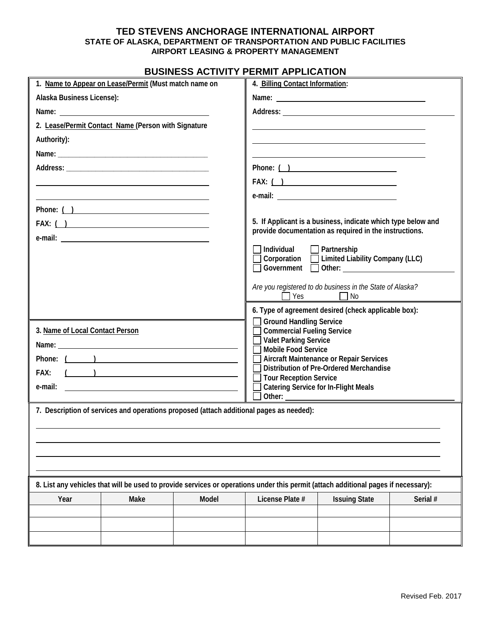### **TED STEVENS ANCHORAGE INTERNATIONAL AIRPORT STATE OF ALASKA, DEPARTMENT OF TRANSPORTATION AND PUBLIC FACILITIES AIRPORT LEASING & PROPERTY MANAGEMENT**

# **BUSINESS ACTIVITY PERMIT APPLICATION**

| 1. Name to Appear on Lease/Permit (Must match name on                                                                                                                                                                                |      |       | 4. Billing Contact Information:                                                                                                                                                                                                                                                                                                                                                                                                  |                      |          |
|--------------------------------------------------------------------------------------------------------------------------------------------------------------------------------------------------------------------------------------|------|-------|----------------------------------------------------------------------------------------------------------------------------------------------------------------------------------------------------------------------------------------------------------------------------------------------------------------------------------------------------------------------------------------------------------------------------------|----------------------|----------|
| Alaska Business License):                                                                                                                                                                                                            |      |       |                                                                                                                                                                                                                                                                                                                                                                                                                                  |                      |          |
| Name: <u>example and the series of the series of the series of the series of the series of the series of the series of the series of the series of the series of the series of the series of the series of the series of the ser</u> |      |       |                                                                                                                                                                                                                                                                                                                                                                                                                                  |                      |          |
| 2. Lease/Permit Contact Name (Person with Signature                                                                                                                                                                                  |      |       |                                                                                                                                                                                                                                                                                                                                                                                                                                  |                      |          |
| Authority):                                                                                                                                                                                                                          |      |       |                                                                                                                                                                                                                                                                                                                                                                                                                                  |                      |          |
|                                                                                                                                                                                                                                      |      |       |                                                                                                                                                                                                                                                                                                                                                                                                                                  |                      |          |
|                                                                                                                                                                                                                                      |      |       | Phone: ( )                                                                                                                                                                                                                                                                                                                                                                                                                       |                      |          |
|                                                                                                                                                                                                                                      |      |       | FAX: ( )                                                                                                                                                                                                                                                                                                                                                                                                                         |                      |          |
|                                                                                                                                                                                                                                      |      |       |                                                                                                                                                                                                                                                                                                                                                                                                                                  |                      |          |
|                                                                                                                                                                                                                                      |      |       |                                                                                                                                                                                                                                                                                                                                                                                                                                  |                      |          |
| FAX: ( )                                                                                                                                                                                                                             |      |       | 5. If Applicant is a business, indicate which type below and<br>provide documentation as required in the instructions.                                                                                                                                                                                                                                                                                                           |                      |          |
|                                                                                                                                                                                                                                      |      |       | Individual<br>$\Box$ Partnership<br>$\Box$ Corporation $\Box$ Limited Liability Company (LLC)                                                                                                                                                                                                                                                                                                                                    |                      |          |
|                                                                                                                                                                                                                                      |      |       | Are you registered to do business in the State of Alaska?<br>$\Box$ Yes $\Box$ No                                                                                                                                                                                                                                                                                                                                                |                      |          |
|                                                                                                                                                                                                                                      |      |       | 6. Type of agreement desired (check applicable box):                                                                                                                                                                                                                                                                                                                                                                             |                      |          |
| 3. Name of Local Contact Person<br>$\left(\begin{array}{cc} 0 & 0 \end{array}\right)$<br>FAX:<br>e-mail:<br><u> 1989 - Johann John Stone, marking and de format and de format and design and design and design and design an</u>     |      |       | <b>Ground Handling Service</b><br><b>Commercial Fueling Service</b><br><b>Valet Parking Service</b><br><b>Mobile Food Service</b><br><b>Aircraft Maintenance or Repair Services</b><br>Distribution of Pre-Ordered Merchandise<br><b>Tour Reception Service</b><br><b>Catering Service for In-Flight Meals</b><br>Other: and the contract of the contract of the contract of the contract of the contract of the contract of the |                      |          |
| 7. Description of services and operations proposed (attach additional pages as needed):                                                                                                                                              |      |       |                                                                                                                                                                                                                                                                                                                                                                                                                                  |                      |          |
|                                                                                                                                                                                                                                      |      |       |                                                                                                                                                                                                                                                                                                                                                                                                                                  |                      |          |
| 8. List any vehicles that will be used to provide services or operations under this permit (attach additional pages if necessary):                                                                                                   |      |       |                                                                                                                                                                                                                                                                                                                                                                                                                                  |                      |          |
| Year                                                                                                                                                                                                                                 | Make | Model | License Plate #                                                                                                                                                                                                                                                                                                                                                                                                                  | <b>Issuing State</b> | Serial # |
|                                                                                                                                                                                                                                      |      |       |                                                                                                                                                                                                                                                                                                                                                                                                                                  |                      |          |
|                                                                                                                                                                                                                                      |      |       |                                                                                                                                                                                                                                                                                                                                                                                                                                  |                      |          |
|                                                                                                                                                                                                                                      |      |       |                                                                                                                                                                                                                                                                                                                                                                                                                                  |                      |          |